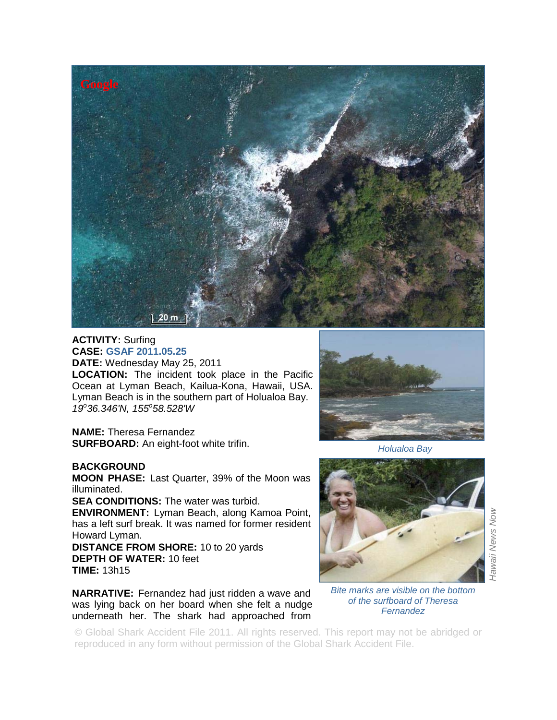

## **ACTIVITY:** Surfing **CASE: GSAF 2011.05.25**

**DATE:** Wednesday May 25, 2011

**LOCATION:** The incident took place in the Pacific Ocean at Lyman Beach, Kailua-Kona, Hawaii, USA. Lyman Beach is in the southern part of Holualoa Bay. *19<sup>o</sup> 36.346'N, 155<sup>o</sup> 58.528'W*

**NAME:** Theresa Fernandez **SURFBOARD:** An eight-foot white trifin.

## **BACKGROUND**

**MOON PHASE:** Last Quarter, 39% of the Moon was illuminated.

**SEA CONDITIONS:** The water was turbid.

**ENVIRONMENT:** Lyman Beach, along Kamoa Point, has a left surf break. It was named for former resident Howard Lyman.

**DISTANCE FROM SHORE:** 10 to 20 yards **DEPTH OF WATER:** 10 feet **TIME:** 13h15

**NARRATIVE:** Fernandez had just ridden a wave and was lying back on her board when she felt a nudge underneath her. The shark had approached from



*Holualoa Bay*



*Hawaii News Now*  Hawaii News Now

*Bite marks are visible on the bottom of the surfboard of Theresa Fernandez* 

© Global Shark Accident File 2011. All rights reserved. This report may not be abridged or reproduced in any form without permission of the Global Shark Accident File.